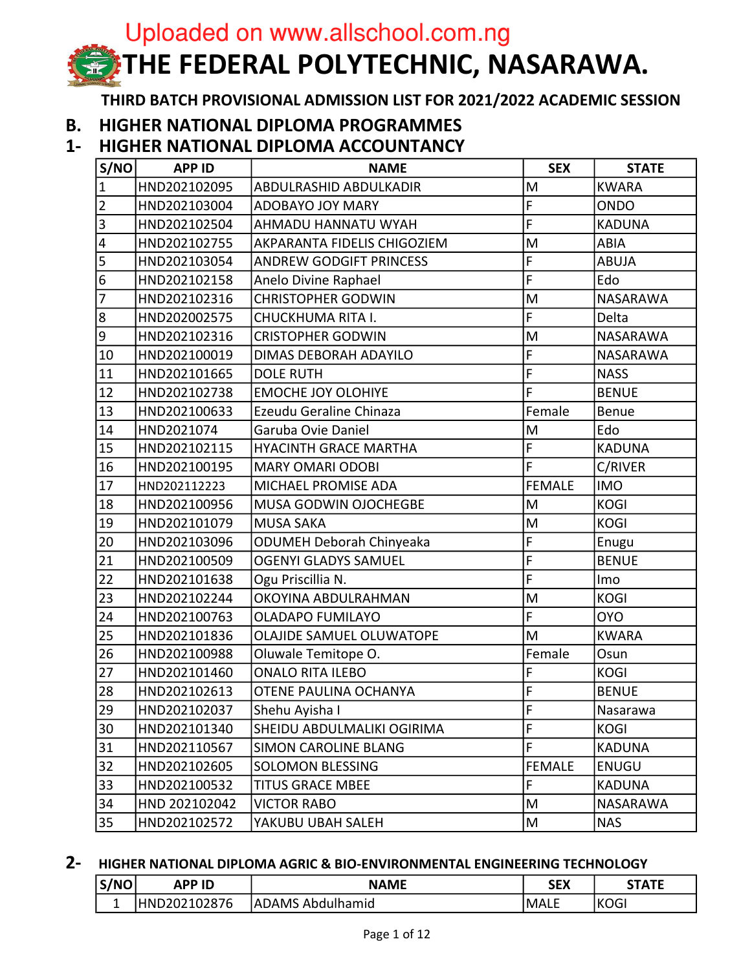# Uploaded on www.allschool.com.ng THE FEDERAL POLYTECHNIC, NASARAWA.

THIRD BATCH PROVISIONAL ADMISSION LIST FOR 2021/2022 ACADEMIC SESSION

#### **B. HIGHER NATIONAL DIPLOMA PROGRAMMES**

#### HIGHER NATIONAL DIPLOMA ACCOUNTANCY  $1 -$

| S/NO                    | <b>APP ID</b> | <b>NAME</b>                     | <b>SEX</b>     | <b>STATE</b>    |
|-------------------------|---------------|---------------------------------|----------------|-----------------|
| $\mathbf{1}$            | HND202102095  | ABDULRASHID ABDULKADIR          | M              | <b>KWARA</b>    |
| $\overline{2}$          | HND202103004  | ADOBAYO JOY MARY                | F              | <b>ONDO</b>     |
| $\overline{3}$          | HND202102504  | AHMADU HANNATU WYAH             | F              | <b>KADUNA</b>   |
| $\overline{\mathbf{4}}$ | HND202102755  | AKPARANTA FIDELIS CHIGOZIEM     | M              | <b>ABIA</b>     |
| 5                       | HND202103054  | <b>ANDREW GODGIFT PRINCESS</b>  | F              | <b>ABUJA</b>    |
| $\overline{6}$          | HND202102158  | Anelo Divine Raphael            | F              | Edo             |
| $\overline{7}$          | HND202102316  | <b>CHRISTOPHER GODWIN</b>       | M              | <b>NASARAWA</b> |
| $\overline{8}$          | HND202002575  | CHUCKHUMA RITA I.               | F              | Delta           |
| 9                       | HND202102316  | <b>CRISTOPHER GODWIN</b>        | M              | NASARAWA        |
| 10                      | HND202100019  | DIMAS DEBORAH ADAYILO           | F              | NASARAWA        |
| 11                      | HND202101665  | <b>DOLE RUTH</b>                | F              | <b>NASS</b>     |
| 12                      | HND202102738  | <b>EMOCHE JOY OLOHIYE</b>       | F              | <b>BENUE</b>    |
| 13                      | HND202100633  | Ezeudu Geraline Chinaza         | Female         | Benue           |
| 14                      | HND2021074    | Garuba Ovie Daniel              | M              | Edo             |
| 15                      | HND202102115  | HYACINTH GRACE MARTHA           | F              | <b>KADUNA</b>   |
| 16                      | HND202100195  | <b>MARY OMARI ODOBI</b>         | F              | C/RIVER         |
| 17                      | HND202112223  | MICHAEL PROMISE ADA             | <b>FEMALE</b>  | <b>IMO</b>      |
| 18                      | HND202100956  | MUSA GODWIN OJOCHEGBE           | M              | <b>KOGI</b>     |
| 19                      | HND202101079  | <b>MUSA SAKA</b>                | M              | KOGI            |
| 20                      | HND202103096  | <b>ODUMEH Deborah Chinyeaka</b> | F              | Enugu           |
| 21                      | HND202100509  | <b>OGENYI GLADYS SAMUEL</b>     | F              | <b>BENUE</b>    |
| 22                      | HND202101638  | Ogu Priscillia N.               | $\overline{F}$ | Imo             |
| 23                      | HND202102244  | OKOYINA ABDULRAHMAN             | M              | <b>KOGI</b>     |
| 24                      | HND202100763  | <b>OLADAPO FUMILAYO</b>         | F              | <b>OYO</b>      |
| 25                      | HND202101836  | OLAJIDE SAMUEL OLUWATOPE        | M              | <b>KWARA</b>    |
| 26                      | HND202100988  | Oluwale Temitope O.             | Female         | Osun            |
| 27                      | HND202101460  | <b>ONALO RITA ILEBO</b>         | F              | <b>KOGI</b>     |
| 28                      | HND202102613  | OTENE PAULINA OCHANYA           | F              | <b>BENUE</b>    |
| 29                      | HND202102037  | Shehu Ayisha I                  | F              | Nasarawa        |
| 30                      | HND202101340  | SHEIDU ABDULMALIKI OGIRIMA      | F              | <b>KOGI</b>     |
| 31                      | HND202110567  | <b>SIMON CAROLINE BLANG</b>     | F              | <b>KADUNA</b>   |
| 32                      | HND202102605  | <b>SOLOMON BLESSING</b>         | <b>FEMALE</b>  | ENUGU           |
| 33                      | HND202100532  | <b>TITUS GRACE MBEE</b>         | F              | <b>KADUNA</b>   |
| 34                      | HND 202102042 | <b>VICTOR RABO</b>              | M              | NASARAWA        |
| 35                      | HND202102572  | YAKUBU UBAH SALEH               | M              | <b>NAS</b>      |

#### $2 -$ HIGHER NATIONAL DIPLOMA AGRIC & BIO-ENVIRONMENTAL ENGINEERING TECHNOLOGY

| S/NO | <b>PP ID</b>      | <b>NAMF</b>                 | <b>SEX</b>  | <b>TATE</b>     |
|------|-------------------|-----------------------------|-------------|-----------------|
| -    | 202102876<br>HND. | <b>JADAMS</b><br>Abdulhamid | <b>MALL</b> | $\sim$<br>'KOGI |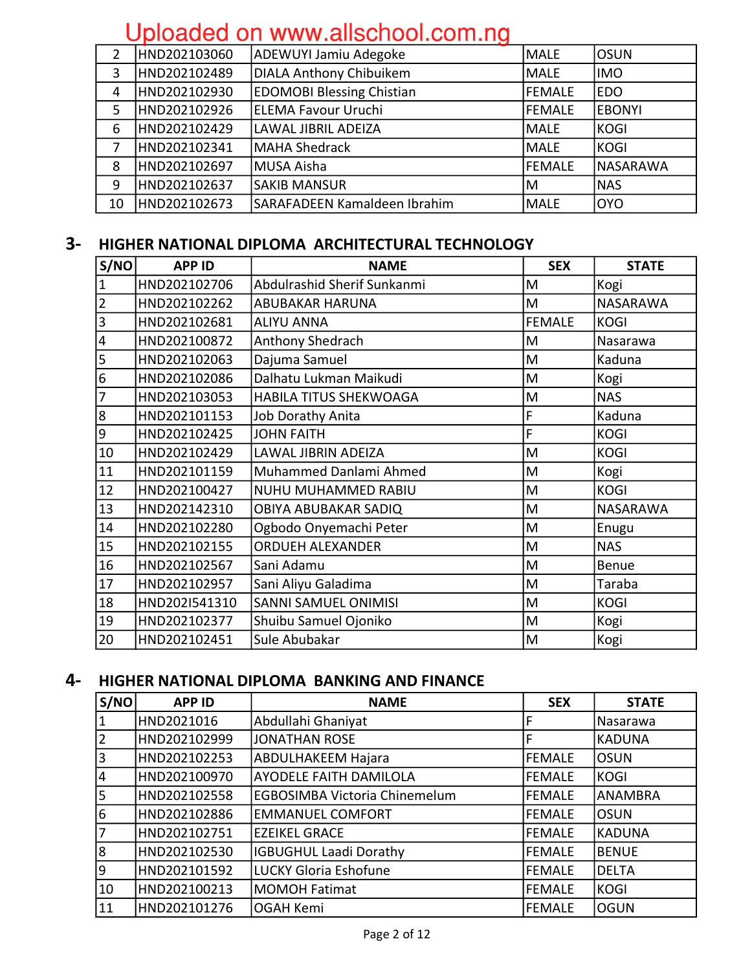| 2  | HND202103060 | <b>ADEWUYI Jamiu Adegoke</b>     | <b>MALE</b> | losun            |
|----|--------------|----------------------------------|-------------|------------------|
| 3  | HND202102489 | DIALA Anthony Chibuikem          | <b>MALE</b> | <b>IMO</b>       |
| 4  | HND202102930 | <b>EDOMOBI Blessing Chistian</b> | FEMALE      | <b>EDO</b>       |
| 5  | HND202102926 | ELEMA Favour Uruchi              | lFEMALE     | <b>EBONYI</b>    |
| 6  | HND202102429 | LAWAL JIBRIL ADEIZA              | <b>MALE</b> | <b>KOGI</b>      |
|    | HND202102341 | MAHA Shedrack                    | MALE        | KOGI             |
| 8  | HND202102697 | lMUSA Aisha                      | lFEMALE     | <b>INASARAWA</b> |
| 9  | HND202102637 | ISAKIB MANSUR                    | IM          | <b>NAS</b>       |
| 10 | HND202102673 | SARAFADEEN Kamaldeen Ibrahim     | <b>MALE</b> | loyo             |

### 3- HIGHER NATIONAL DIPLOMA ARCHITECTURAL TECHNOLOGY

| S/NO                    | <b>APP ID</b> | <b>NAME</b>                   | <b>SEX</b>    | <b>STATE</b>    |
|-------------------------|---------------|-------------------------------|---------------|-----------------|
| $\mathbf 1$             | HND202102706  | Abdulrashid Sherif Sunkanmi   | M             | Kogi            |
| $\overline{2}$          | HND202102262  | <b>ABUBAKAR HARUNA</b>        | M             | NASARAWA        |
| 3                       | HND202102681  | <b>ALIYU ANNA</b>             | <b>FEMALE</b> | <b>KOGI</b>     |
| $\overline{\mathbf{4}}$ | HND202100872  | Anthony Shedrach              | M             | Nasarawa        |
| 5                       | HND202102063  | Dajuma Samuel                 | M             | Kaduna          |
| $\overline{6}$          | HND202102086  | Dalhatu Lukman Maikudi        | M             | Kogi            |
| $\overline{7}$          | HND202103053  | <b>HABILA TITUS SHEKWOAGA</b> | M             | <b>NAS</b>      |
| $\boldsymbol{8}$        | HND202101153  | Job Dorathy Anita             | F             | Kaduna          |
| $\overline{9}$          | HND202102425  | <b>JOHN FAITH</b>             | F             | <b>KOGI</b>     |
| 10                      | HND202102429  | LAWAL JIBRIN ADEIZA           | M             | <b>KOGI</b>     |
| 11                      | HND202101159  | Muhammed Danlami Ahmed        | M             | Kogi            |
| 12                      | HND202100427  | NUHU MUHAMMED RABIU           | M             | <b>KOGI</b>     |
| 13                      | HND202142310  | OBIYA ABUBAKAR SADIQ          | M             | <b>NASARAWA</b> |
| 14                      | HND202102280  | Ogbodo Onyemachi Peter        | M             | Enugu           |
| 15                      | HND202102155  | <b>ORDUEH ALEXANDER</b>       | M             | <b>NAS</b>      |
| 16                      | HND202102567  | Sani Adamu                    | M             | <b>Benue</b>    |
| 17                      | HND202102957  | Sani Aliyu Galadima           | M             | Taraba          |
| 18                      | HND202I541310 | <b>SANNI SAMUEL ONIMISI</b>   | M             | <b>KOGI</b>     |
| 19                      | HND202102377  | Shuibu Samuel Ojoniko         | M             | Kogi            |
| 20                      | HND202102451  | Sule Abubakar                 | M             | Kogi            |

#### 4- HIGHER NATIONAL DIPLOMA BANKING AND FINANCE

| S/NO      | <b>APP ID</b> | <b>NAME</b>                          | <b>SEX</b>    | <b>STATE</b>   |
|-----------|---------------|--------------------------------------|---------------|----------------|
| $\vert$ 1 | HND2021016    | Abdullahi Ghaniyat                   |               | Nasarawa       |
| $\vert$ 2 | HND202102999  | JONATHAN ROSE                        | F             | <b>KADUNA</b>  |
| 3         | HND202102253  | <b>ABDULHAKEEM Hajara</b>            | <b>FEMALE</b> | <b>OSUN</b>    |
| 4         | HND202100970  | <b>AYODELE FAITH DAMILOLA</b>        | <b>FEMALE</b> | <b>KOGI</b>    |
| 5         | HND202102558  | <b>EGBOSIMBA Victoria Chinemelum</b> | <b>FEMALE</b> | <b>ANAMBRA</b> |
| 6         | HND202102886  | <b>EMMANUEL COMFORT</b>              | FEMALE        | <b>OSUN</b>    |
| 7         | HND202102751  | <b>EZEIKEL GRACE</b>                 | <b>FEMALE</b> | <b>KADUNA</b>  |
| 8         | HND202102530  | <b>IGBUGHUL Laadi Dorathy</b>        | <b>FEMALE</b> | <b>BENUE</b>   |
| 9         | HND202101592  | LUCKY Gloria Eshofune                | FEMALE        | <b>DELTA</b>   |
| 10        | HND202100213  | MOMOH Fatimat                        | <b>FEMALE</b> | <b>KOGI</b>    |
| 11        | HND202101276  | OGAH Kemi                            | <b>FEMALE</b> | <b>OGUN</b>    |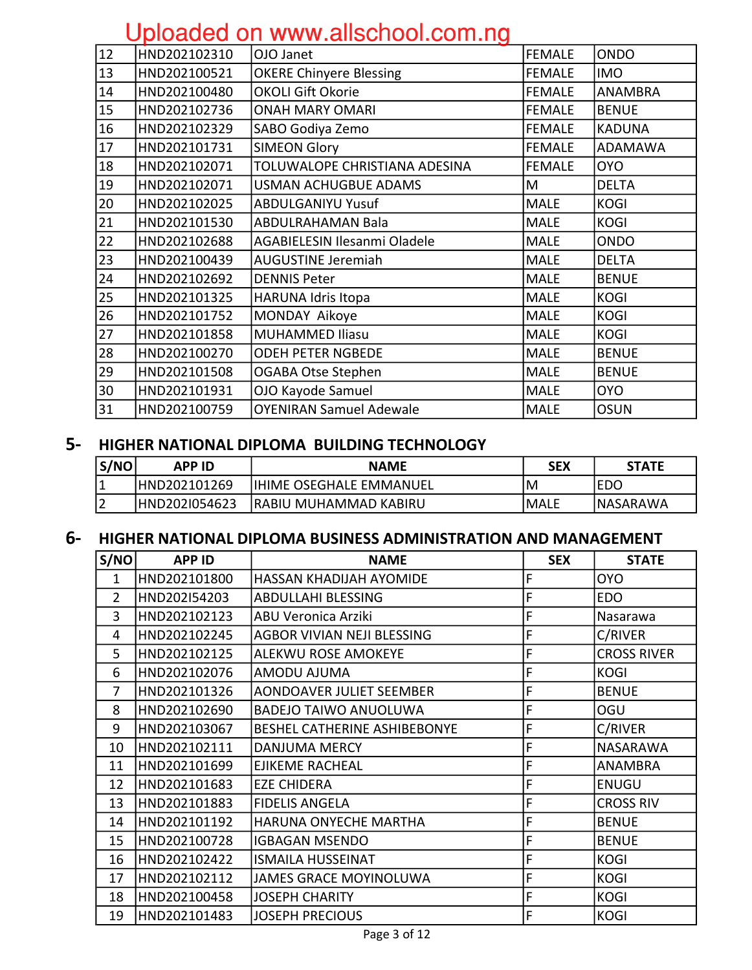|                 | <u>opiodood on www.anoonoon.com.ng</u> |                                     |               |               |  |  |
|-----------------|----------------------------------------|-------------------------------------|---------------|---------------|--|--|
| $\overline{12}$ | HND202102310                           | OJO Janet                           | <b>FEMALE</b> | <b>ONDO</b>   |  |  |
| 13              | HND202100521                           | <b>OKERE Chinyere Blessing</b>      | <b>FEMALE</b> | <b>IMO</b>    |  |  |
| 14              | HND202100480                           | <b>OKOLI Gift Okorie</b>            | <b>FEMALE</b> | ANAMBRA       |  |  |
| 15              | HND202102736                           | <b>ONAH MARY OMARI</b>              | <b>FEMALE</b> | <b>BENUE</b>  |  |  |
| 16              | HND202102329                           | SABO Godiya Zemo                    | <b>FEMALE</b> | <b>KADUNA</b> |  |  |
| 17              | HND202101731                           | <b>SIMEON Glory</b>                 | FEMALE        | ADAMAWA       |  |  |
| 18              | HND202102071                           | TOLUWALOPE CHRISTIANA ADESINA       | <b>FEMALE</b> | <b>OYO</b>    |  |  |
| 19              | HND202102071                           | <b>USMAN ACHUGBUE ADAMS</b>         | M             | <b>DELTA</b>  |  |  |
| 20              | HND202102025                           | <b>ABDULGANIYU Yusuf</b>            | <b>MALE</b>   | <b>KOGI</b>   |  |  |
| 21              | HND202101530                           | <b>ABDULRAHAMAN Bala</b>            | <b>MALE</b>   | <b>KOGI</b>   |  |  |
| 22              | HND202102688                           | <b>AGABIELESIN Ilesanmi Oladele</b> | <b>MALE</b>   | <b>ONDO</b>   |  |  |
| 23              | HND202100439                           | <b>AUGUSTINE Jeremiah</b>           | <b>MALE</b>   | <b>DELTA</b>  |  |  |
| 24              | HND202102692                           | <b>DENNIS Peter</b>                 | <b>MALE</b>   | <b>BENUE</b>  |  |  |
| 25              | HND202101325                           | <b>HARUNA Idris Itopa</b>           | <b>MALE</b>   | <b>KOGI</b>   |  |  |
| 26              | HND202101752                           | MONDAY Aikoye                       | <b>MALE</b>   | <b>KOGI</b>   |  |  |
| 27              | HND202101858                           | <b>MUHAMMED Iliasu</b>              | <b>MALE</b>   | <b>KOGI</b>   |  |  |
| 28              | HND202100270                           | <b>ODEH PETER NGBEDE</b>            | MALE          | <b>BENUE</b>  |  |  |
| 29              | HND202101508                           | OGABA Otse Stephen                  | <b>MALE</b>   | <b>BENUE</b>  |  |  |
| 30              | HND202101931                           | OJO Kayode Samuel                   | <b>MALE</b>   | <b>OYO</b>    |  |  |
| 31              | HND202100759                           | <b>OYENIRAN Samuel Adewale</b>      | <b>MALE</b>   | <b>OSUN</b>   |  |  |
|                 |                                        |                                     |               |               |  |  |

### 5- HIGHER NATIONAL DIPLOMA BUILDING TECHNOLOGY

| S/NO | <b>APP ID</b> | <b>NAME</b>                    | SEX   | <b>STATE</b> |
|------|---------------|--------------------------------|-------|--------------|
|      | HND202101269  | <b>IHIME OSEGHALE EMMANUEL</b> | 'M    | EDC          |
|      | HND202I054623 | RABIU MUHAMMAD KABIRU          | 'MALE | INASARAWA    |

#### 6- HIGHER NATIONAL DIPLOMA BUSINESS ADMINISTRATION AND MANAGEMENT

| S/NO           | <b>APP ID</b> | <b>NAME</b>                   | <b>SEX</b> | <b>STATE</b>       |
|----------------|---------------|-------------------------------|------------|--------------------|
| $\mathbf{1}$   | HND202101800  | HASSAN KHADIJAH AYOMIDE       | F          | <b>OYO</b>         |
| $\overline{2}$ | HND202154203  | ABDULLAHI BLESSING            | F          | <b>EDO</b>         |
| 3              | HND202102123  | <b>ABU Veronica Arziki</b>    | F          | Nasarawa           |
| 4              | HND202102245  | AGBOR VIVIAN NEJI BLESSING    | F          | C/RIVER            |
| 5              | HND202102125  | ALEKWU ROSE AMOKEYE           | F          | <b>CROSS RIVER</b> |
| 6              | HND202102076  | AMODU AJUMA                   | F          | <b>KOGI</b>        |
| 7              | HND202101326  | AONDOAVER JULIET SEEMBER      | F          | <b>BENUE</b>       |
| 8              | HND202102690  | <b>BADEJO TAIWO ANUOLUWA</b>  | F          | OGU                |
| 9              | HND202103067  | BESHEL CATHERINE ASHIBEBONYE  | F          | C/RIVER            |
| 10             | HND202102111  | DANJUMA MERCY                 | F          | <b>NASARAWA</b>    |
| 11             | HND202101699  | <b>EJIKEME RACHEAL</b>        | F          | <b>ANAMBRA</b>     |
| 12             | HND202101683  | <b>EZE CHIDERA</b>            | F          | <b>ENUGU</b>       |
| 13             | HND202101883  | <b>FIDELIS ANGELA</b>         | F          | <b>CROSS RIV</b>   |
| 14             | HND202101192  | <b>HARUNA ONYECHE MARTHA</b>  | F          | <b>BENUE</b>       |
| 15             | HND202100728  | <b>IGBAGAN MSENDO</b>         | F          | <b>BENUE</b>       |
| 16             | HND202102422  | <b>ISMAILA HUSSEINAT</b>      | F          | <b>KOGI</b>        |
| 17             | HND202102112  | <b>JAMES GRACE MOYINOLUWA</b> | F          | <b>KOGI</b>        |
| 18             | HND202100458  | <b>JOSEPH CHARITY</b>         | F          | <b>KOGI</b>        |
| 19             | HND202101483  | <b>JOSEPH PRECIOUS</b>        | F          | <b>KOGI</b>        |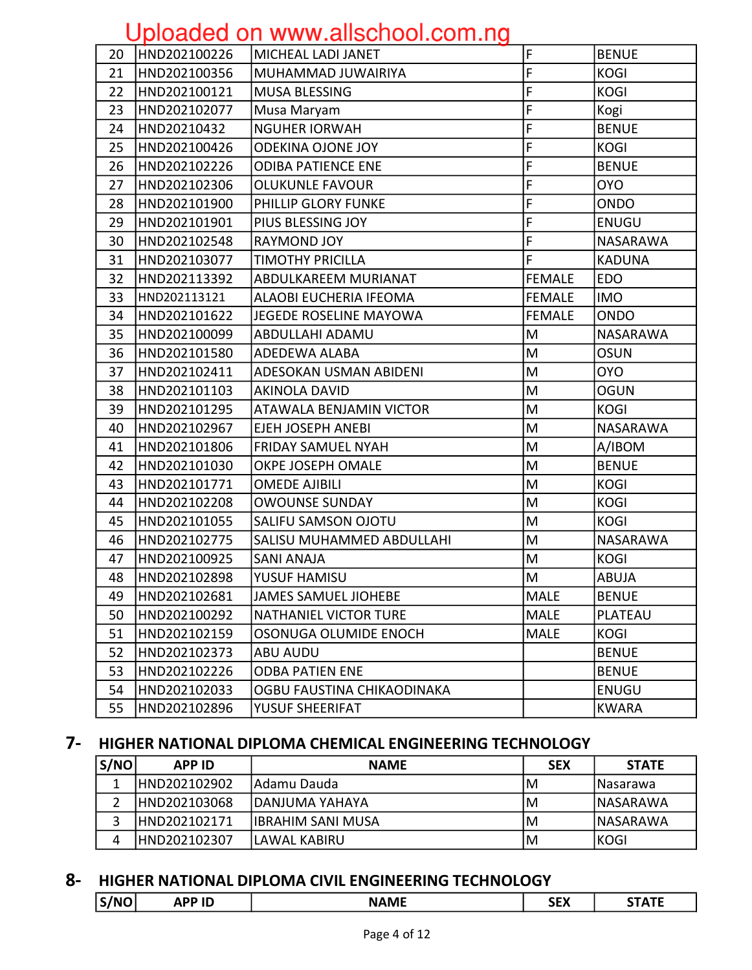|    |              | $\sim$ produce on minimum oriented in $\sim$ |               |                 |
|----|--------------|----------------------------------------------|---------------|-----------------|
| 20 | HND202100226 | MICHEAL LADI JANET                           | F             | <b>BENUE</b>    |
| 21 | HND202100356 | MUHAMMAD JUWAIRIYA                           | F             | <b>KOGI</b>     |
| 22 | HND202100121 | <b>MUSA BLESSING</b>                         | F             | <b>KOGI</b>     |
| 23 | HND202102077 | Musa Maryam                                  | F             | Kogi            |
| 24 | HND20210432  | <b>NGUHER IORWAH</b>                         | F             | <b>BENUE</b>    |
| 25 | HND202100426 | <b>ODEKINA OJONE JOY</b>                     | F             | <b>KOGI</b>     |
| 26 | HND202102226 | <b>ODIBA PATIENCE ENE</b>                    | F             | <b>BENUE</b>    |
| 27 | HND202102306 | <b>OLUKUNLE FAVOUR</b>                       | F             | <b>OYO</b>      |
| 28 | HND202101900 | PHILLIP GLORY FUNKE                          | F             | <b>ONDO</b>     |
| 29 | HND202101901 | PIUS BLESSING JOY                            | F             | <b>ENUGU</b>    |
| 30 | HND202102548 | <b>RAYMOND JOY</b>                           | F             | NASARAWA        |
| 31 | HND202103077 | <b>TIMOTHY PRICILLA</b>                      | F             | <b>KADUNA</b>   |
| 32 | HND202113392 | ABDULKAREEM MURIANAT                         | <b>FEMALE</b> | <b>EDO</b>      |
| 33 | HND202113121 | ALAOBI EUCHERIA IFEOMA                       | <b>FEMALE</b> | <b>IMO</b>      |
| 34 | HND202101622 | JEGEDE ROSELINE MAYOWA                       | <b>FEMALE</b> | ONDO            |
| 35 | HND202100099 | ABDULLAHI ADAMU                              | M             | <b>NASARAWA</b> |
| 36 | HND202101580 | ADEDEWA ALABA                                | M             | <b>OSUN</b>     |
| 37 | HND202102411 | ADESOKAN USMAN ABIDENI                       | M             | <b>OYO</b>      |
| 38 | HND202101103 | <b>AKINOLA DAVID</b>                         | M             | <b>OGUN</b>     |
| 39 | HND202101295 | ATAWALA BENJAMIN VICTOR                      | M             | <b>KOGI</b>     |
| 40 | HND202102967 | EJEH JOSEPH ANEBI                            | M             | NASARAWA        |
| 41 | HND202101806 | <b>FRIDAY SAMUEL NYAH</b>                    | M             | A/IBOM          |
| 42 | HND202101030 | OKPE JOSEPH OMALE                            | M             | <b>BENUE</b>    |
| 43 | HND202101771 | <b>OMEDE AJIBILI</b>                         | M             | <b>KOGI</b>     |
| 44 | HND202102208 | <b>OWOUNSE SUNDAY</b>                        | M             | <b>KOGI</b>     |
| 45 | HND202101055 | <b>SALIFU SAMSON OJOTU</b>                   | M             | <b>KOGI</b>     |
| 46 | HND202102775 | SALISU MUHAMMED ABDULLAHI                    | M             | NASARAWA        |
| 47 | HND202100925 | <b>SANI ANAJA</b>                            | M             | <b>KOGI</b>     |
| 48 | HND202102898 | YUSUF HAMISU                                 | M             | <b>ABUJA</b>    |
| 49 | HND202102681 | JAMES SAMUEL JIOHEBE                         | <b>MALE</b>   | <b>BENUE</b>    |
| 50 | HND202100292 | <b>NATHANIEL VICTOR TURE</b>                 | <b>MALE</b>   | PLATEAU         |
| 51 | HND202102159 | OSONUGA OLUMIDE ENOCH                        | <b>MALE</b>   | <b>KOGI</b>     |
| 52 | HND202102373 | <b>ABU AUDU</b>                              |               | <b>BENUE</b>    |
| 53 | HND202102226 | <b>ODBA PATIEN ENE</b>                       |               | <b>BENUE</b>    |
| 54 | HND202102033 | OGBU FAUSTINA CHIKAODINAKA                   |               | <b>ENUGU</b>    |
| 55 | HND202102896 | YUSUF SHEERIFAT                              |               | <b>KWARA</b>    |

#### 7- HIGHER NATIONAL DIPLOMA CHEMICAL ENGINEERING TECHNOLOGY

| S/NO | <b>APP ID</b> | <b>NAME</b>               | <b>SEX</b> | <b>STATE</b> |
|------|---------------|---------------------------|------------|--------------|
|      | HND202102902  | IAdamu Dauda              | ΙM         | INasarawa    |
|      | HND202103068  | IDANJUMA YAHAYA           | ΙM         | INASARAWA    |
|      | IHND202102171 | <b>IIBRAHIM SANI MUSA</b> | ΙM         | INASARAWA    |
| 4    | IHND202102307 | ILAWAL KABIRU             | ΙM         | IKOGI        |

#### 8- HIGHER NATIONAL DIPLOMA CIVIL ENGINEERING TECHNOLOGY

| 'NI | . .<br> | ---<br> | .<br>$\cdots$ | ---<br>. . |
|-----|---------|---------|---------------|------------|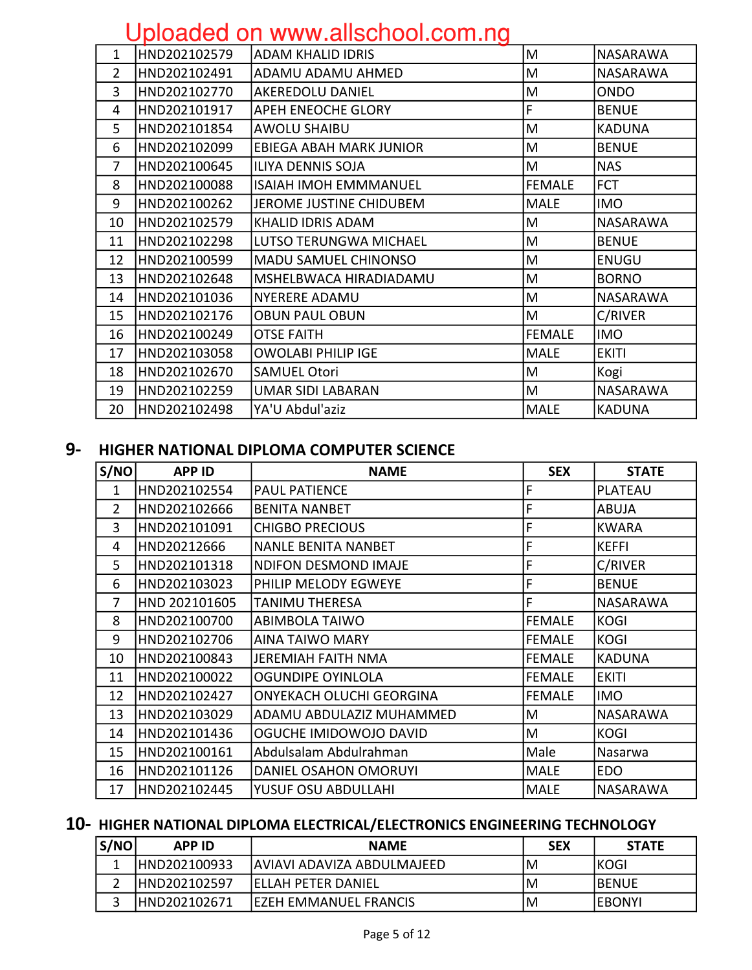|              | ----------                     |               |                 |
|--------------|--------------------------------|---------------|-----------------|
| HND202102579 | <b>ADAM KHALID IDRIS</b>       | M             | <b>NASARAWA</b> |
| HND202102491 | ADAMU ADAMU AHMED              | M             | <b>NASARAWA</b> |
| HND202102770 | <b>AKEREDOLU DANIEL</b>        | M             | <b>ONDO</b>     |
| HND202101917 | <b>APEH ENEOCHE GLORY</b>      | F             | <b>BENUE</b>    |
| HND202101854 | <b>AWOLU SHAIBU</b>            | M             | <b>KADUNA</b>   |
| HND202102099 | <b>EBIEGA ABAH MARK JUNIOR</b> | M             | <b>BENUE</b>    |
| HND202100645 | ILIYA DENNIS SOJA              | M             | <b>NAS</b>      |
| HND202100088 | <b>ISAIAH IMOH EMMMANUEL</b>   | <b>FEMALE</b> | <b>FCT</b>      |
| HND202100262 | JEROME JUSTINE CHIDUBEM        | <b>MALE</b>   | <b>IMO</b>      |
| HND202102579 | KHALID IDRIS ADAM              | M             | <b>NASARAWA</b> |
| HND202102298 | LUTSO TERUNGWA MICHAEL         | M             | <b>BENUE</b>    |
| HND202100599 | <b>MADU SAMUEL CHINONSO</b>    | M             | <b>ENUGU</b>    |
| HND202102648 | MSHELBWACA HIRADIADAMU         | M             | <b>BORNO</b>    |
| HND202101036 | <b>NYERERE ADAMU</b>           | M             | <b>NASARAWA</b> |
| HND202102176 | <b>OBUN PAUL OBUN</b>          | M             | C/RIVER         |
| HND202100249 | <b>OTSE FAITH</b>              | <b>FEMALE</b> | <b>IMO</b>      |
| HND202103058 | <b>OWOLABI PHILIP IGE</b>      | <b>MALE</b>   | <b>EKITI</b>    |
| HND202102670 | <b>SAMUEL Otori</b>            | M             | Kogi            |
| HND202102259 | <b>UMAR SIDI LABARAN</b>       | M             | <b>NASARAWA</b> |
| HND202102498 | YA'U Abdul'aziz                | <b>MALE</b>   | <b>KADUNA</b>   |
|              |                                |               |                 |

#### 9- HIGHER NATIONAL DIPLOMA COMPUTER SCIENCE

| S/NO           | <b>APP ID</b> | <b>NAME</b>                     | <b>SEX</b>    | <b>STATE</b>    |
|----------------|---------------|---------------------------------|---------------|-----------------|
| 1              | HND202102554  | <b>PAUL PATIENCE</b>            | F             | <b>PLATEAU</b>  |
| $\overline{2}$ | HND202102666  | <b>BENITA NANBET</b>            | F             | <b>ABUJA</b>    |
| 3              | HND202101091  | <b>CHIGBO PRECIOUS</b>          | F             | <b>KWARA</b>    |
| 4              | HND20212666   | <b>NANLE BENITA NANBET</b>      | F             | <b>KEFFI</b>    |
| 5              | HND202101318  | <b>NDIFON DESMOND IMAJE</b>     | F             | C/RIVER         |
| 6              | HND202103023  | PHILIP MELODY EGWEYE            | F             | <b>BENUE</b>    |
| 7              | HND 202101605 | <b>TANIMU THERESA</b>           | F             | <b>NASARAWA</b> |
| 8              | HND202100700  | <b>ABIMBOLA TAIWO</b>           | FEMALE        | <b>KOGI</b>     |
| 9              | HND202102706  | <b>AINA TAIWO MARY</b>          | <b>FEMALE</b> | <b>KOGI</b>     |
| 10             | HND202100843  | <b>JEREMIAH FAITH NMA</b>       | <b>FEMALE</b> | <b>KADUNA</b>   |
| 11             | HND202100022  | <b>OGUNDIPE OYINLOLA</b>        | <b>FEMALE</b> | <b>EKITI</b>    |
| 12             | HND202102427  | <b>ONYEKACH OLUCHI GEORGINA</b> | <b>FEMALE</b> | <b>IMO</b>      |
| 13             | HND202103029  | ADAMU ABDULAZIZ MUHAMMED        | M             | <b>NASARAWA</b> |
| 14             | HND202101436  | OGUCHE IMIDOWOJO DAVID          | M             | <b>KOGI</b>     |
| 15             | HND202100161  | Abdulsalam Abdulrahman          | Male          | Nasarwa         |
| 16             | HND202101126  | DANIEL OSAHON OMORUYI           | MALE          | <b>EDO</b>      |
| 17             | HND202102445  | YUSUF OSU ABDULLAHI             | <b>MALE</b>   | NASARAWA        |

#### 10- HIGHER NATIONAL DIPLOMA ELECTRICAL/ELECTRONICS ENGINEERING TECHNOLOGY

| S/NO | <b>APP ID</b> | <b>NAME</b>                   | <b>SEX</b> | <b>STATE</b>   |
|------|---------------|-------------------------------|------------|----------------|
|      | IHND202100933 | JAVIAVI ADAVIZA ABDULMAJEED   | IM         | <b>IKOGI</b>   |
|      | IHND202102597 | <b>IELLAH PETER DANIEL</b>    | IM         | <b>IBENUE</b>  |
|      | HND202102671  | <b>IEZEH EMMANUEL FRANCIS</b> | IM         | <b>IEBONYI</b> |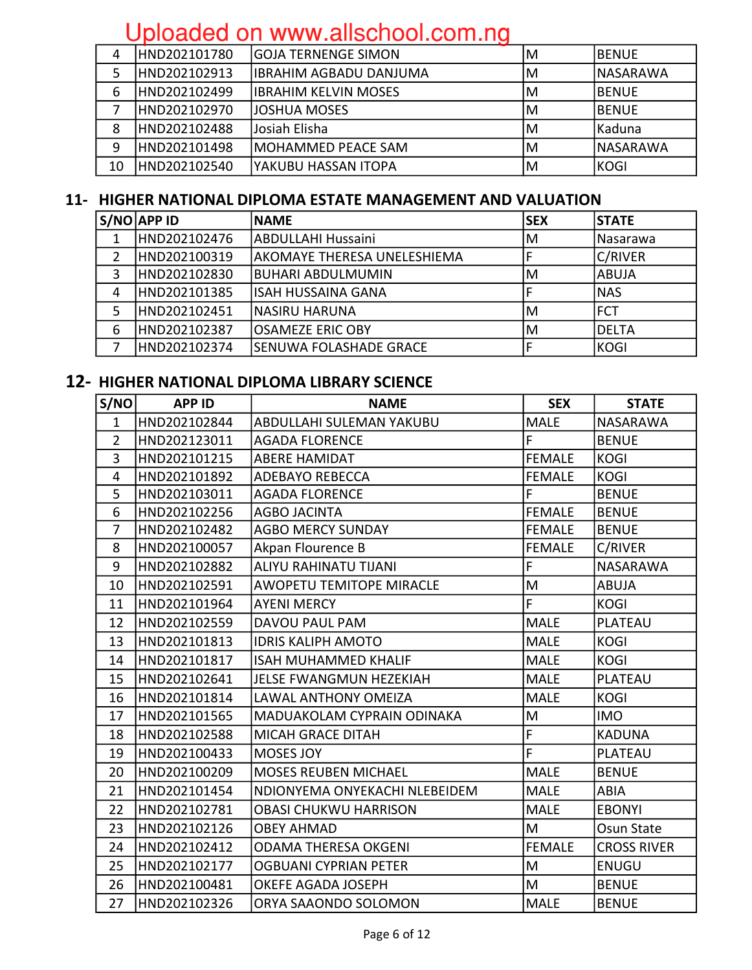| 4  | HND202101780  | lGOJA TERNENGE SIMON    | ΙM | IBENUE    |
|----|---------------|-------------------------|----|-----------|
|    | IHND202102913 | IIBRAHIM AGBADU DANJUMA | M  | INASARAWA |
| 6  | IHND202102499 | librahim kelvin MOSES   | M  | IBENUE    |
|    | HND202102970  | JOSHUA MOSES            | ΙM | IBENUE    |
| 8  | HND202102488  | Josiah Elisha           | ΙM | l Kaduna  |
| 9  | HND202101498  | IMOHAMMED PEACE SAM     | M  | INASARAWA |
| 10 | HND202102540  | lyakubu hassan Itopa    | M  | KOGI      |

#### 11- HIGHER NATIONAL DIPLOMA ESTATE MANAGEMENT AND VALUATION

|   | $S/NO$ APP ID | <b>INAME</b>                  | lSEX | <b>STATE</b>   |
|---|---------------|-------------------------------|------|----------------|
|   | HND202102476  | <b>ABDULLAHI Hussaini</b>     | ΙM   | Nasarawa       |
| 2 | HND202100319  | lakOMAYE THERESA UNELESHIEMA  |      | <b>C/RIVER</b> |
| 3 | HND202102830  | <b>BUHARI ABDULMUMIN</b>      | M    | <b>ABUJA</b>   |
| 4 | HND202101385  | lisah HUSSAINA GANA           |      | <b>NAS</b>     |
|   | HND202102451  | INASIRU HARUNA                | ΙM   | IFCT           |
| 6 | HND202102387  | <b>OSAMEZE ERIC OBY</b>       | ΙM   | <b>DELTA</b>   |
|   | HND202102374  | <b>SENUWA FOLASHADE GRACE</b> |      | KOGI           |

#### 12- HIGHER NATIONAL DIPLOMA LIBRARY SCIENCE

| S/NO           | <b>APP ID</b> | <b>NAME</b>                       | <b>SEX</b>    | <b>STATE</b>       |
|----------------|---------------|-----------------------------------|---------------|--------------------|
| 1              | HND202102844  | ABDULLAHI SULEMAN YAKUBU          | <b>MALE</b>   | <b>NASARAWA</b>    |
| $\overline{2}$ | HND202123011  | <b>AGADA FLORENCE</b>             | F             | <b>BENUE</b>       |
| 3              | HND202101215  | <b>ABERE HAMIDAT</b>              | <b>FEMALE</b> | <b>KOGI</b>        |
| $\overline{4}$ | HND202101892  | <b>ADEBAYO REBECCA</b>            | <b>FEMALE</b> | <b>KOGI</b>        |
| 5              | HND202103011  | <b>AGADA FLORENCE</b>             | F             | <b>BENUE</b>       |
| 6              | HND202102256  | <b>AGBO JACINTA</b>               | <b>FEMALE</b> | <b>BENUE</b>       |
| $\overline{7}$ | HND202102482  | <b>AGBO MERCY SUNDAY</b>          | <b>FEMALE</b> | <b>BENUE</b>       |
| 8              | HND202100057  | Akpan Flourence B                 | <b>FEMALE</b> | C/RIVER            |
| 9              | HND202102882  | <b>ALIYU RAHINATU TIJANI</b>      | F             | <b>NASARAWA</b>    |
| 10             | HND202102591  | <b>AWOPETU TEMITOPE MIRACLE</b>   | M             | <b>ABUJA</b>       |
| 11             | HND202101964  | <b>AYENI MERCY</b>                | F             | <b>KOGI</b>        |
| 12             | HND202102559  | DAVOU PAUL PAM                    | <b>MALE</b>   | PLATEAU            |
| 13             | HND202101813  | <b>IDRIS KALIPH AMOTO</b>         | <b>MALE</b>   | <b>KOGI</b>        |
| 14             | HND202101817  | <b>ISAH MUHAMMED KHALIF</b>       | <b>MALE</b>   | <b>KOGI</b>        |
| 15             | HND202102641  | <b>JELSE FWANGMUN HEZEKIAH</b>    | <b>MALE</b>   | PLATEAU            |
| 16             | HND202101814  | LAWAL ANTHONY OMEIZA              | <b>MALE</b>   | <b>KOGI</b>        |
| 17             | HND202101565  | <b>MADUAKOLAM CYPRAIN ODINAKA</b> | M             | <b>IMO</b>         |
| 18             | HND202102588  | <b>MICAH GRACE DITAH</b>          | F             | <b>KADUNA</b>      |
| 19             | HND202100433  | <b>MOSES JOY</b>                  | F             | PLATEAU            |
| 20             | HND202100209  | <b>MOSES REUBEN MICHAEL</b>       | <b>MALE</b>   | <b>BENUE</b>       |
| 21             | HND202101454  | NDIONYEMA ONYEKACHI NLEBEIDEM     | <b>MALE</b>   | <b>ABIA</b>        |
| 22             | HND202102781  | <b>OBASI CHUKWU HARRISON</b>      | <b>MALE</b>   | <b>EBONYI</b>      |
| 23             | HND202102126  | <b>OBEY AHMAD</b>                 | M             | Osun State         |
| 24             | HND202102412  | <b>ODAMA THERESA OKGENI</b>       | <b>FEMALE</b> | <b>CROSS RIVER</b> |
| 25             | HND202102177  | <b>OGBUANI CYPRIAN PETER</b>      | M             | <b>ENUGU</b>       |
| 26             | HND202100481  | <b>OKEFE AGADA JOSEPH</b>         | M             | <b>BENUE</b>       |
| 27             | HND202102326  | ORYA SAAONDO SOLOMON              | <b>MALE</b>   | <b>BENUE</b>       |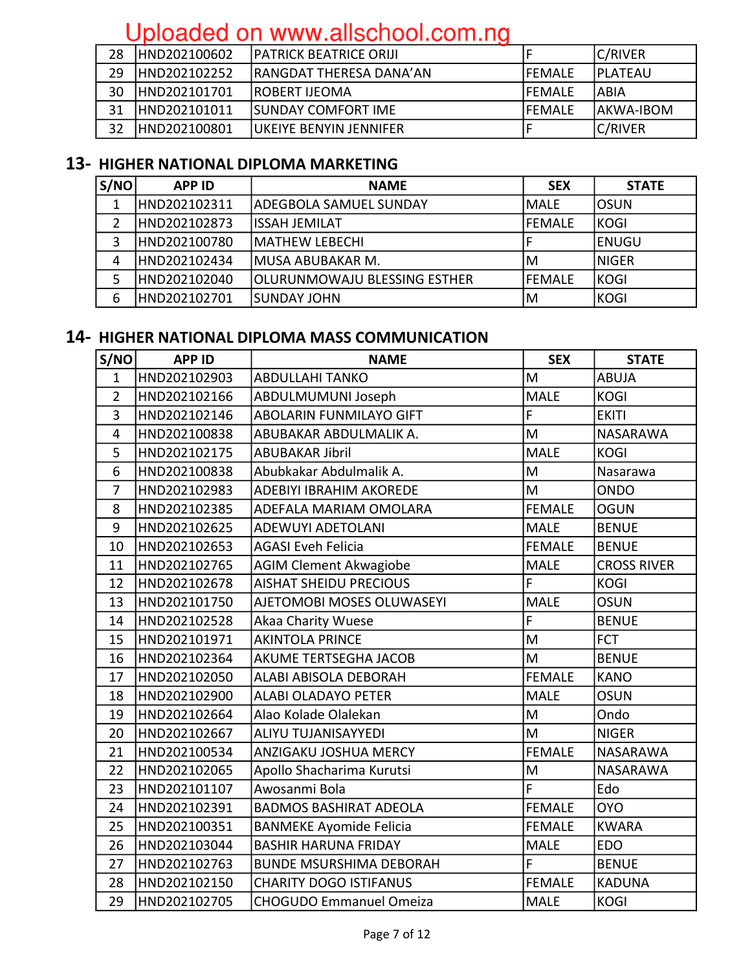| 28 | HND202100602  | <b>IPATRICK BEATRICE ORIJI</b>  |                | C/RIVER         |
|----|---------------|---------------------------------|----------------|-----------------|
| 29 | HND202102252  | <b>IRANGDAT THERESA DANA'AN</b> | <b>IFEMALE</b> | <b>IPLATEAU</b> |
| 30 | HND202101701  | <b>IROBERT IJEOMA</b>           | <b>IFEMALE</b> | 'ABIA           |
| 31 | HND202101011  | <b>ISUNDAY COMFORT IME</b>      | IFEMALE        | IAKWA-IBOM      |
| 32 | IHND202100801 | IUKEIYE BENYIN JENNIFER         |                | C/RIVER         |

#### 13- HIGHER NATIONAL DIPLOMA MARKETING

| S/NO | <b>APP ID</b> | <b>NAME</b>                         | <b>SEX</b> | <b>STATE</b> |
|------|---------------|-------------------------------------|------------|--------------|
|      | IHND202102311 | ADEGBOLA SAMUEL SUNDAY              | IMALE      | IOSUN        |
|      | HND202102873  | <b>IISSAH JEMILAT</b>               | lFEMALE    | KOGI         |
| 3    | HND202100780  | <b>IMATHEW LEBECHI</b>              |            | <b>ENUGU</b> |
| 4    | HND202102434  | IMUSA ABUBAKAR M.                   | ١M         | INIGER       |
| 5    | HND202102040  | <b>OLURUNMOWAJU BLESSING ESTHER</b> | lfEMALE    | KOGI         |
| 6    | HND202102701  | ISUNDAY JOHN                        | M          | <b>KOGI</b>  |

#### 14- HIGHER NATIONAL DIPLOMA MASS COMMUNICATION

| S/NO                    | <b>APP ID</b> | <b>NAME</b>                    | <b>SEX</b>    | <b>STATE</b>       |
|-------------------------|---------------|--------------------------------|---------------|--------------------|
| $\mathbf{1}$            | HND202102903  | <b>ABDULLAHI TANKO</b>         | M             | <b>ABUJA</b>       |
| $\overline{2}$          | HND202102166  | ABDULMUMUNI Joseph             | <b>MALE</b>   | <b>KOGI</b>        |
| $\overline{3}$          | HND202102146  | <b>ABOLARIN FUNMILAYO GIFT</b> | F             | <b>EKITI</b>       |
| $\overline{\mathbf{4}}$ | HND202100838  | ABUBAKAR ABDULMALIK A.         | M             | NASARAWA           |
| 5                       | HND202102175  | <b>ABUBAKAR Jibril</b>         | <b>MALE</b>   | <b>KOGI</b>        |
| 6                       | HND202100838  | Abubkakar Abdulmalik A.        | M             | Nasarawa           |
| $\overline{7}$          | HND202102983  | <b>ADEBIYI IBRAHIM AKOREDE</b> | M             | <b>ONDO</b>        |
| 8                       | HND202102385  | ADEFALA MARIAM OMOLARA         | <b>FEMALE</b> | <b>OGUN</b>        |
| 9                       | HND202102625  | <b>ADEWUYI ADETOLANI</b>       | <b>MALE</b>   | <b>BENUE</b>       |
| 10                      | HND202102653  | <b>AGASI Eveh Felicia</b>      | <b>FEMALE</b> | <b>BENUE</b>       |
| 11                      | HND202102765  | <b>AGIM Clement Akwagiobe</b>  | <b>MALE</b>   | <b>CROSS RIVER</b> |
| 12                      | HND202102678  | <b>AISHAT SHEIDU PRECIOUS</b>  | F             | <b>KOGI</b>        |
| 13                      | HND202101750  | AJETOMOBI MOSES OLUWASEYI      | <b>MALE</b>   | <b>OSUN</b>        |
| 14                      | HND202102528  | Akaa Charity Wuese             | F             | <b>BENUE</b>       |
| 15                      | HND202101971  | <b>AKINTOLA PRINCE</b>         | M             | <b>FCT</b>         |
| 16                      | HND202102364  | AKUME TERTSEGHA JACOB          | M             | <b>BENUE</b>       |
| 17                      | HND202102050  | ALABI ABISOLA DEBORAH          | <b>FEMALE</b> | <b>KANO</b>        |
| 18                      | HND202102900  | <b>ALABI OLADAYO PETER</b>     | <b>MALE</b>   | <b>OSUN</b>        |
| 19                      | HND202102664  | Alao Kolade Olalekan           | M             | Ondo               |
| 20                      | HND202102667  | ALIYU TUJANISAYYEDI            | M             | <b>NIGER</b>       |
| 21                      | HND202100534  | ANZIGAKU JOSHUA MERCY          | <b>FEMALE</b> | NASARAWA           |
| 22                      | HND202102065  | Apollo Shacharima Kurutsi      | M             | NASARAWA           |
| 23                      | HND202101107  | Awosanmi Bola                  | F             | Edo                |
| 24                      | HND202102391  | <b>BADMOS BASHIRAT ADEOLA</b>  | <b>FEMALE</b> | <b>OYO</b>         |
| 25                      | HND202100351  | <b>BANMEKE Ayomide Felicia</b> | <b>FEMALE</b> | <b>KWARA</b>       |
| 26                      | HND202103044  | <b>BASHIR HARUNA FRIDAY</b>    | <b>MALE</b>   | <b>EDO</b>         |
| 27                      | HND202102763  | <b>BUNDE MSURSHIMA DEBORAH</b> | F             | <b>BENUE</b>       |
| 28                      | HND202102150  | <b>CHARITY DOGO ISTIFANUS</b>  | <b>FEMALE</b> | <b>KADUNA</b>      |
| 29                      | HND202102705  | <b>CHOGUDO Emmanuel Omeiza</b> | <b>MALE</b>   | <b>KOGI</b>        |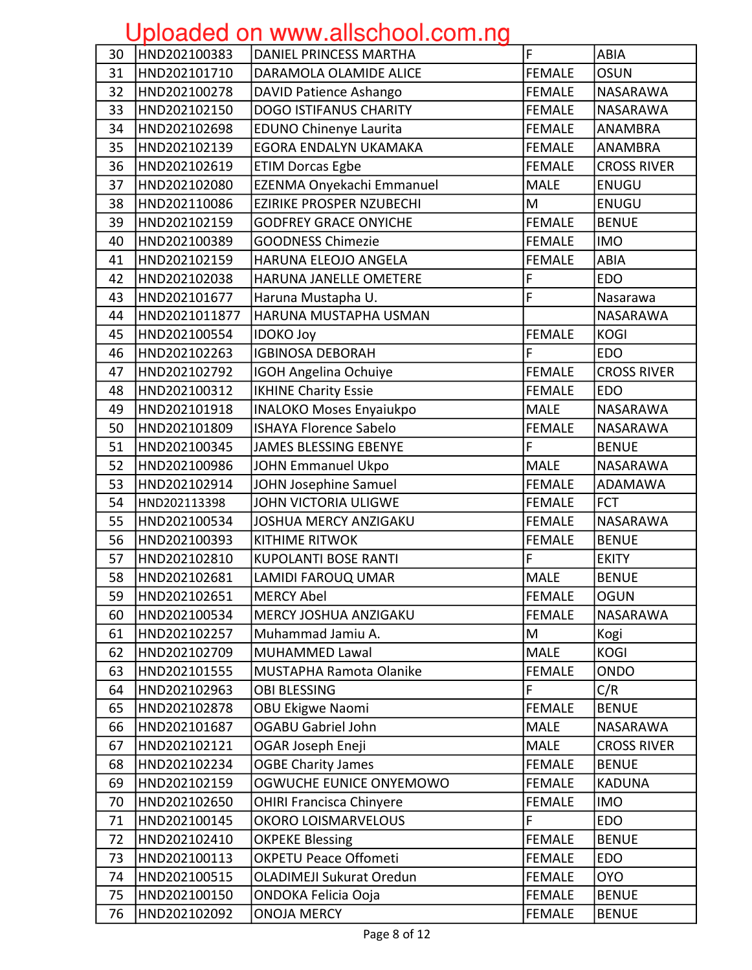| 30 | HND202100383  | DANIEL PRINCESS MARTHA          | F             | <b>ABIA</b>        |
|----|---------------|---------------------------------|---------------|--------------------|
| 31 | HND202101710  | DARAMOLA OLAMIDE ALICE          | <b>FEMALE</b> | <b>OSUN</b>        |
| 32 | HND202100278  | DAVID Patience Ashango          | <b>FEMALE</b> | <b>NASARAWA</b>    |
| 33 | HND202102150  | <b>DOGO ISTIFANUS CHARITY</b>   | <b>FEMALE</b> | NASARAWA           |
| 34 | HND202102698  | <b>EDUNO Chinenye Laurita</b>   | <b>FEMALE</b> | <b>ANAMBRA</b>     |
| 35 | HND202102139  | EGORA ENDALYN UKAMAKA           | <b>FEMALE</b> | <b>ANAMBRA</b>     |
| 36 | HND202102619  | <b>ETIM Dorcas Egbe</b>         | <b>FEMALE</b> | <b>CROSS RIVER</b> |
| 37 | HND202102080  | EZENMA Onyekachi Emmanuel       | <b>MALE</b>   | ENUGU              |
| 38 | HND202110086  | <b>EZIRIKE PROSPER NZUBECHI</b> | M             | ENUGU              |
| 39 | HND202102159  | <b>GODFREY GRACE ONYICHE</b>    | <b>FEMALE</b> | <b>BENUE</b>       |
| 40 | HND202100389  | <b>GOODNESS Chimezie</b>        | <b>FEMALE</b> | <b>IMO</b>         |
| 41 | HND202102159  | HARUNA ELEOJO ANGELA            | <b>FEMALE</b> | <b>ABIA</b>        |
| 42 | HND202102038  | HARUNA JANELLE OMETERE          | F             | <b>EDO</b>         |
| 43 | HND202101677  | Haruna Mustapha U.              | F             | Nasarawa           |
| 44 | HND2021011877 | HARUNA MUSTAPHA USMAN           |               | <b>NASARAWA</b>    |
| 45 | HND202100554  | <b>IDOKO Joy</b>                | <b>FEMALE</b> | <b>KOGI</b>        |
| 46 | HND202102263  | <b>IGBINOSA DEBORAH</b>         | F             | <b>EDO</b>         |
| 47 | HND202102792  | IGOH Angelina Ochuiye           | <b>FEMALE</b> | <b>CROSS RIVER</b> |
| 48 | HND202100312  | <b>IKHINE Charity Essie</b>     | <b>FEMALE</b> | <b>EDO</b>         |
| 49 | HND202101918  | <b>INALOKO Moses Enyaiukpo</b>  | <b>MALE</b>   | <b>NASARAWA</b>    |
| 50 | HND202101809  | <b>ISHAYA Florence Sabelo</b>   | <b>FEMALE</b> | NASARAWA           |
| 51 | HND202100345  | <b>JAMES BLESSING EBENYE</b>    | F             | <b>BENUE</b>       |
| 52 | HND202100986  | <b>JOHN Emmanuel Ukpo</b>       | <b>MALE</b>   | <b>NASARAWA</b>    |
| 53 | HND202102914  | JOHN Josephine Samuel           | <b>FEMALE</b> | ADAMAWA            |
| 54 | HND202113398  | JOHN VICTORIA ULIGWE            | <b>FEMALE</b> | <b>FCT</b>         |
| 55 | HND202100534  | <b>JOSHUA MERCY ANZIGAKU</b>    | <b>FEMALE</b> | <b>NASARAWA</b>    |
| 56 | HND202100393  | <b>KITHIME RITWOK</b>           | <b>FEMALE</b> | <b>BENUE</b>       |
| 57 | HND202102810  | <b>KUPOLANTI BOSE RANTI</b>     | F             | <b>EKITY</b>       |
| 58 | HND202102681  | <b>LAMIDI FAROUQ UMAR</b>       | <b>MALE</b>   | <b>BENUE</b>       |
| 59 | HND202102651  | MERCY Abel                      | <b>FEMALE</b> | <b>OGUN</b>        |
| 60 | HND202100534  | MERCY JOSHUA ANZIGAKU           | <b>FEMALE</b> | NASARAWA           |
| 61 | HND202102257  | Muhammad Jamiu A.               | M             | Kogi               |
| 62 | HND202102709  | <b>MUHAMMED Lawal</b>           | <b>MALE</b>   | <b>KOGI</b>        |
| 63 | HND202101555  | MUSTAPHA Ramota Olanike         | <b>FEMALE</b> | <b>ONDO</b>        |
| 64 | HND202102963  | <b>OBI BLESSING</b>             | F             | C/R                |
| 65 | HND202102878  | <b>OBU Ekigwe Naomi</b>         | <b>FEMALE</b> | <b>BENUE</b>       |
| 66 | HND202101687  | <b>OGABU Gabriel John</b>       | <b>MALE</b>   | NASARAWA           |
| 67 | HND202102121  | OGAR Joseph Eneji               | <b>MALE</b>   | <b>CROSS RIVER</b> |
| 68 | HND202102234  | <b>OGBE Charity James</b>       | <b>FEMALE</b> | <b>BENUE</b>       |
| 69 | HND202102159  | OGWUCHE EUNICE ONYEMOWO         | <b>FEMALE</b> | <b>KADUNA</b>      |
| 70 | HND202102650  | <b>OHIRI Francisca Chinyere</b> | <b>FEMALE</b> | <b>IMO</b>         |
| 71 | HND202100145  | <b>OKORO LOISMARVELOUS</b>      | F             | <b>EDO</b>         |
| 72 | HND202102410  | <b>OKPEKE Blessing</b>          | <b>FEMALE</b> | <b>BENUE</b>       |
| 73 | HND202100113  | <b>OKPETU Peace Offometi</b>    | <b>FEMALE</b> | <b>EDO</b>         |
| 74 | HND202100515  | <b>OLADIMEJI Sukurat Oredun</b> | <b>FEMALE</b> | <b>OYO</b>         |
| 75 | HND202100150  | ONDOKA Felicia Ooja             | <b>FEMALE</b> | <b>BENUE</b>       |
| 76 | HND202102092  | <b>ONOJA MERCY</b>              | <b>FEMALE</b> | <b>BENUE</b>       |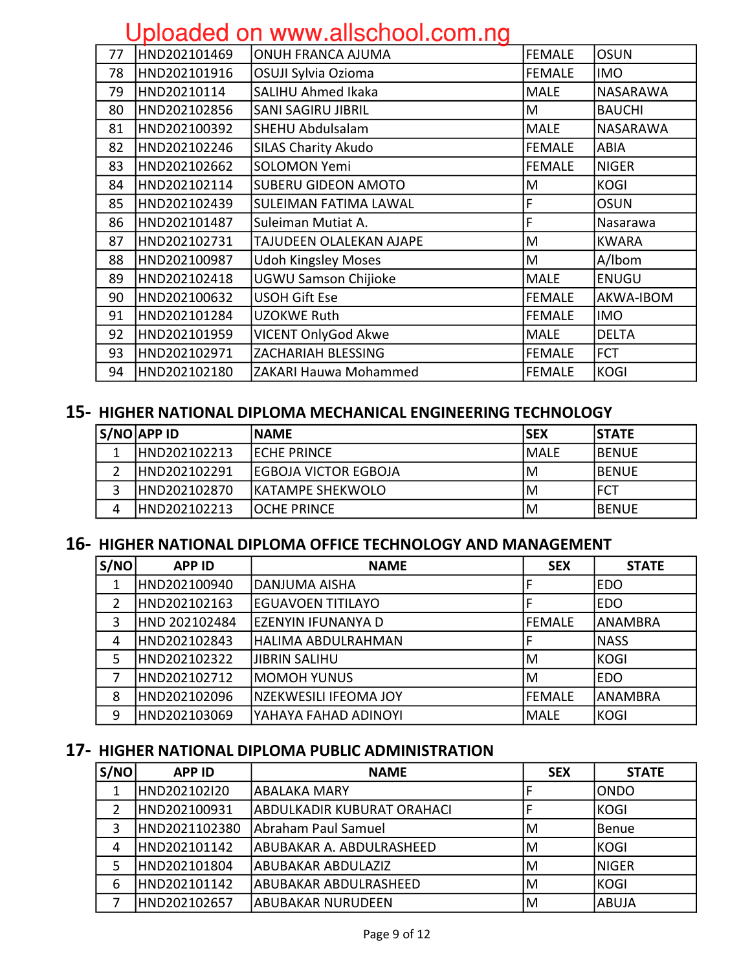| 77 | HND202101469 | ONUH FRANCA AJUMA            | <b>FEMALE</b> | <b>OSUN</b>   |
|----|--------------|------------------------------|---------------|---------------|
| 78 | HND202101916 | OSUJI Sylvia Ozioma          | <b>FEMALE</b> | <b>IMO</b>    |
| 79 | HND20210114  | <b>SALIHU Ahmed Ikaka</b>    | <b>MALE</b>   | NASARAWA      |
| 80 | HND202102856 | <b>SANI SAGIRU JIBRIL</b>    | M             | <b>BAUCHI</b> |
| 81 | HND202100392 | SHEHU Abdulsalam             | <b>MALE</b>   | NASARAWA      |
| 82 | HND202102246 | <b>SILAS Charity Akudo</b>   | FEMALE        | ABIA          |
| 83 | HND202102662 | <b>SOLOMON Yemi</b>          | <b>FEMALE</b> | <b>NIGER</b>  |
| 84 | HND202102114 | <b>SUBERU GIDEON AMOTO</b>   | M             | <b>KOGI</b>   |
| 85 | HND202102439 | <b>SULEIMAN FATIMA LAWAL</b> | F             | <b>OSUN</b>   |
| 86 | HND202101487 | Suleiman Mutiat A.           | F             | Nasarawa      |
| 87 | HND202102731 | TAJUDEEN OLALEKAN AJAPE      | M             | <b>KWARA</b>  |
| 88 | HND202100987 | <b>Udoh Kingsley Moses</b>   | M             | A/Ibom        |
| 89 | HND202102418 | <b>UGWU Samson Chijioke</b>  | <b>MALE</b>   | <b>ENUGU</b>  |
| 90 | HND202100632 | <b>USOH Gift Ese</b>         | <b>FEMALE</b> | AKWA-IBOM     |
| 91 | HND202101284 | <b>UZOKWE Ruth</b>           | <b>FEMALE</b> | <b>IMO</b>    |
| 92 | HND202101959 | <b>VICENT OnlyGod Akwe</b>   | <b>MALE</b>   | <b>DELTA</b>  |
| 93 | HND202102971 | ZACHARIAH BLESSING           | <b>FEMALE</b> | <b>FCT</b>    |
| 94 | HND202102180 | ZAKARI Hauwa Mohammed        | <b>FEMALE</b> | <b>KOGI</b>   |
|    |              |                              |               |               |

#### 15- HIGHER NATIONAL DIPLOMA MECHANICAL ENGINEERING TECHNOLOGY

|   | S/NO APP ID   | <b>INAME</b>                | ISEX  | <b>ISTATE</b> |
|---|---------------|-----------------------------|-------|---------------|
| 1 | HND202102213  | <b>IECHE PRINCE</b>         | IMALE | <b>IBENUE</b> |
|   | HND202102291  | <b>EGBOJA VICTOR EGBOJA</b> | IM    | <b>IBENUE</b> |
| ͻ | HND202102870  | <b>IKATAMPE SHEKWOLO</b>    | IM    | IFCT          |
| 4 | IHND202102213 | <b>IOCHE PRINCE</b>         | IM    | <b>IBENUE</b> |

#### 16- HIGHER NATIONAL DIPLOMA OFFICE TECHNOLOGY AND MANAGEMENT

| S/NO | <b>APP ID</b> | <b>NAME</b>              | <b>SEX</b> | <b>STATE</b>   |
|------|---------------|--------------------------|------------|----------------|
|      | HND202100940  | lDANJUMA AISHA           |            | <b>EDO</b>     |
| 2    | HND202102163  | <b>EGUAVOEN TITILAYO</b> |            | <b>EDO</b>     |
| 3    | HND 202102484 | EZENYIN IFUNANYA D       | lfEMALE    | <b>ANAMBRA</b> |
| 4    | HND202102843  | lHALIMA ABDULRAHMAN      |            | <b>NASS</b>    |
| 5    | HND202102322  | <b>JIBRIN SALIHU</b>     | ΙM         | <b>KOGI</b>    |
|      | HND202102712  | lmomoh Yunus             | ١M         | <b>EDO</b>     |
| 8    | HND202102096  | NZEKWESILI IFEOMA JOY    | lfEMALE    | IANAMBRA       |
| 9    | HND202103069  | YAHAYA FAHAD ADINOYI     | MALE       | KOGI           |

#### 17- HIGHER NATIONAL DIPLOMA PUBLIC ADMINISTRATION

| S/NO | <b>APP ID</b> | <b>NAME</b>                | <b>SEX</b> | <b>STATE</b> |
|------|---------------|----------------------------|------------|--------------|
|      | HND202102I20  | <b>ABALAKA MARY</b>        |            | IONDO        |
| 2    | HND202100931  | ABDULKADIR KUBURAT ORAHACI |            | <b>KOGI</b>  |
| 3    | HND2021102380 | Abraham Paul Samuel        | ΙM         | Benue        |
| 4    | HND202101142  | ABUBAKAR A. ABDULRASHEED   | ΙM         | <b>KOGI</b>  |
| 5    | HND202101804  | <b>ABUBAKAR ABDULAZIZ</b>  | ΙM         | <b>NIGER</b> |
| 6    | HND202101142  | ABUBAKAR ABDULRASHEED      | ΙM         | <b>KOGI</b>  |
|      | HND202102657  | <b>ABUBAKAR NURUDEEN</b>   | ΙM         | ABUJA        |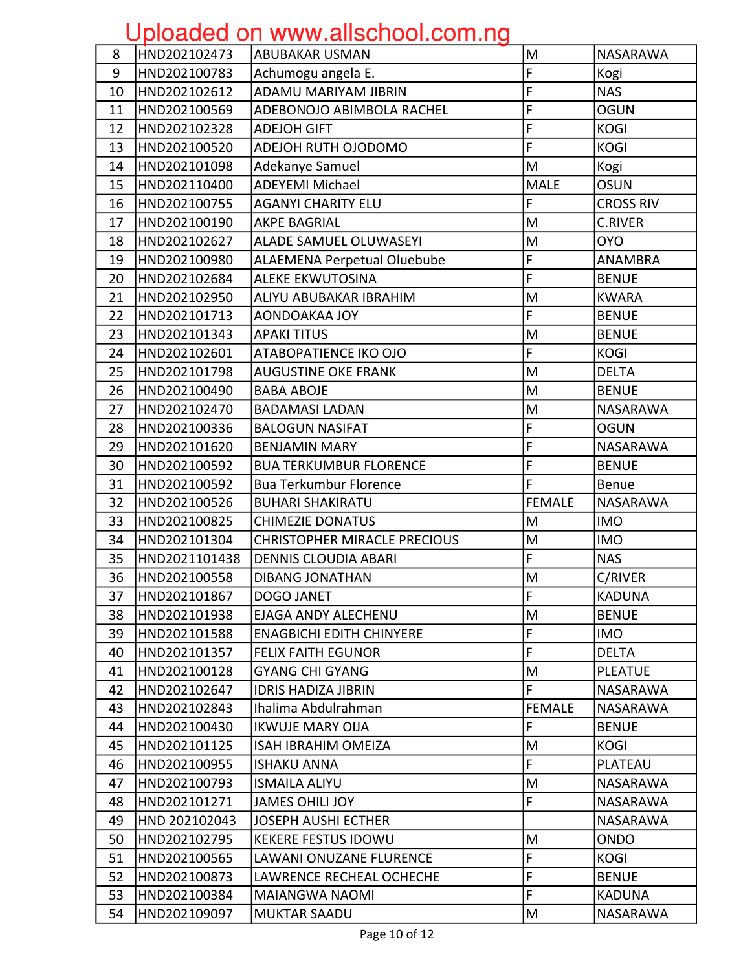| 8  | HND202102473  | <b>ABUBAKAR USMAN</b>               | M                                                                                     | NASARAWA         |
|----|---------------|-------------------------------------|---------------------------------------------------------------------------------------|------------------|
| 9  | HND202100783  | Achumogu angela E.                  | F                                                                                     | Kogi             |
| 10 | HND202102612  | ADAMU MARIYAM JIBRIN                | F                                                                                     | <b>NAS</b>       |
| 11 | HND202100569  | ADEBONOJO ABIMBOLA RACHEL           | F                                                                                     | <b>OGUN</b>      |
| 12 | HND202102328  | <b>ADEJOH GIFT</b>                  | F                                                                                     | <b>KOGI</b>      |
| 13 | HND202100520  | ADEJOH RUTH OJODOMO                 | F                                                                                     | <b>KOGI</b>      |
| 14 | HND202101098  | Adekanye Samuel                     | M                                                                                     | Kogi             |
| 15 | HND202110400  | <b>ADEYEMI Michael</b>              | <b>MALE</b>                                                                           | <b>OSUN</b>      |
| 16 | HND202100755  | <b>AGANYI CHARITY ELU</b>           | F                                                                                     | <b>CROSS RIV</b> |
| 17 | HND202100190  | <b>AKPE BAGRIAL</b>                 | M                                                                                     | <b>C.RIVER</b>   |
| 18 | HND202102627  | <b>ALADE SAMUEL OLUWASEYI</b>       | M                                                                                     | <b>OYO</b>       |
| 19 | HND202100980  | <b>ALAEMENA Perpetual Oluebube</b>  | F                                                                                     | ANAMBRA          |
| 20 | HND202102684  | <b>ALEKE EKWUTOSINA</b>             | F                                                                                     | <b>BENUE</b>     |
| 21 | HND202102950  | ALIYU ABUBAKAR IBRAHIM              | M                                                                                     | <b>KWARA</b>     |
| 22 | HND202101713  | AONDOAKAA JOY                       | F                                                                                     | <b>BENUE</b>     |
| 23 | HND202101343  | <b>APAKI TITUS</b>                  | M                                                                                     | <b>BENUE</b>     |
| 24 | HND202102601  | ATABOPATIENCE IKO OJO               | F                                                                                     | <b>KOGI</b>      |
| 25 | HND202101798  | <b>AUGUSTINE OKE FRANK</b>          | M                                                                                     | <b>DELTA</b>     |
| 26 | HND202100490  | <b>BABA ABOJE</b>                   | M                                                                                     | <b>BENUE</b>     |
| 27 | HND202102470  | <b>BADAMASI LADAN</b>               | M                                                                                     | NASARAWA         |
| 28 | HND202100336  | <b>BALOGUN NASIFAT</b>              | F                                                                                     | <b>OGUN</b>      |
| 29 | HND202101620  | <b>BENJAMIN MARY</b>                | F                                                                                     | <b>NASARAWA</b>  |
| 30 | HND202100592  | <b>BUA TERKUMBUR FLORENCE</b>       | F                                                                                     | <b>BENUE</b>     |
| 31 | HND202100592  | <b>Bua Terkumbur Florence</b>       | F                                                                                     | <b>Benue</b>     |
| 32 | HND202100526  | <b>BUHARI SHAKIRATU</b>             | <b>FEMALE</b>                                                                         | NASARAWA         |
| 33 | HND202100825  | <b>CHIMEZIE DONATUS</b>             | M                                                                                     | <b>IMO</b>       |
| 34 | HND202101304  | <b>CHRISTOPHER MIRACLE PRECIOUS</b> | $\mathsf{M}% _{T}=\mathsf{M}_{T}\!\left( a,b\right) ,\ \mathsf{M}_{T}=\mathsf{M}_{T}$ | <b>IMO</b>       |
| 35 | HND2021101438 | <b>DENNIS CLOUDIA ABARI</b>         | F                                                                                     | <b>NAS</b>       |
| 36 | HND202100558  | <b>DIBANG JONATHAN</b>              | M                                                                                     | C/RIVER          |
| 37 | HND202101867  | DOGO JANET                          | ΙF                                                                                    | <b>KADUNA</b>    |
| 38 | HND202101938  | <b>EJAGA ANDY ALECHENU</b>          | M                                                                                     | <b>BENUE</b>     |
| 39 | HND202101588  | <b>ENAGBICHI EDITH CHINYERE</b>     | F                                                                                     | <b>IMO</b>       |
| 40 | HND202101357  | <b>FELIX FAITH EGUNOR</b>           | F                                                                                     | <b>DELTA</b>     |
| 41 | HND202100128  | <b>GYANG CHI GYANG</b>              | M                                                                                     | <b>PLEATUE</b>   |
| 42 | HND202102647  | <b>IDRIS HADIZA JIBRIN</b>          | F                                                                                     | NASARAWA         |
| 43 | HND202102843  | Ihalima Abdulrahman                 | <b>FEMALE</b>                                                                         | <b>NASARAWA</b>  |
| 44 | HND202100430  | <b>IKWUJE MARY OIJA</b>             | F                                                                                     | <b>BENUE</b>     |
| 45 | HND202101125  | <b>ISAH IBRAHIM OMEIZA</b>          | M                                                                                     | <b>KOGI</b>      |
| 46 | HND202100955  | <b>ISHAKU ANNA</b>                  | F                                                                                     | PLATEAU          |
| 47 | HND202100793  | <b>ISMAILA ALIYU</b>                | M                                                                                     | <b>NASARAWA</b>  |
| 48 | HND202101271  | <b>JAMES OHILI JOY</b>              | F                                                                                     | NASARAWA         |
| 49 | HND 202102043 | JOSEPH AUSHI ECTHER                 |                                                                                       | <b>NASARAWA</b>  |
| 50 | HND202102795  | <b>KEKERE FESTUS IDOWU</b>          | M                                                                                     | <b>ONDO</b>      |
| 51 | HND202100565  | LAWANI ONUZANE FLURENCE             | F                                                                                     | <b>KOGI</b>      |
| 52 | HND202100873  | LAWRENCE RECHEAL OCHECHE            | F                                                                                     | <b>BENUE</b>     |
| 53 | HND202100384  | MAIANGWA NAOMI                      | F                                                                                     | <b>KADUNA</b>    |
| 54 | HND202109097  | <b>MUKTAR SAADU</b>                 | M                                                                                     | NASARAWA         |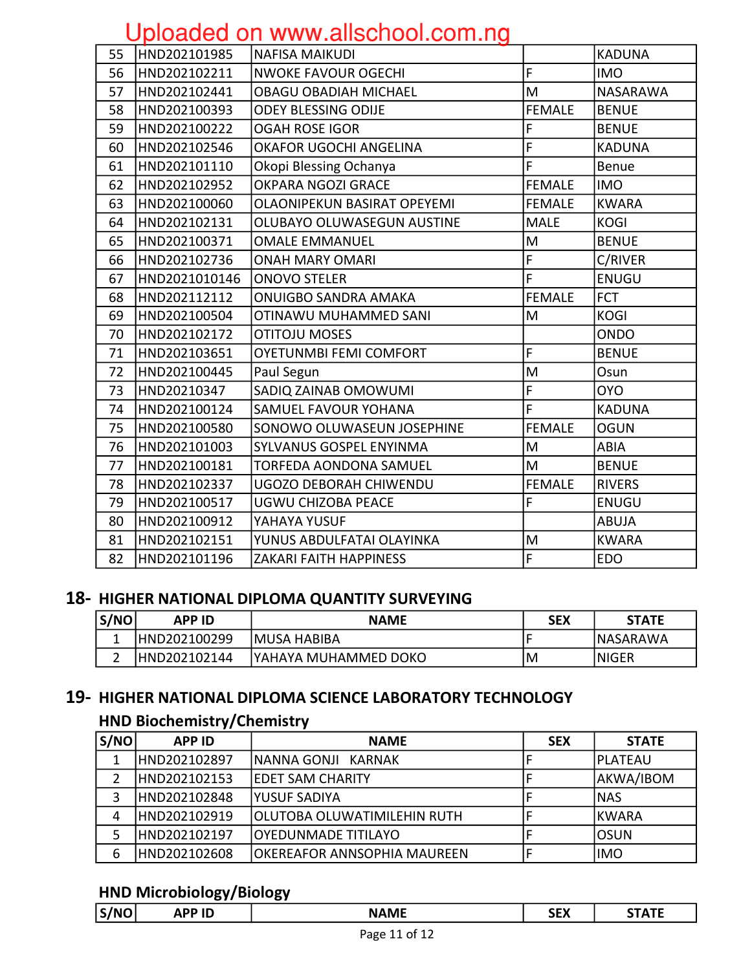|    |               | S                                  |                |                 |
|----|---------------|------------------------------------|----------------|-----------------|
| 55 | HND202101985  | NAFISA MAIKUDI                     |                | <b>KADUNA</b>   |
| 56 | HND202102211  | <b>NWOKE FAVOUR OGECHI</b>         | F              | <b>IMO</b>      |
| 57 | HND202102441  | <b>OBAGU OBADIAH MICHAEL</b>       | M              | <b>NASARAWA</b> |
| 58 | HND202100393  | <b>ODEY BLESSING ODIJE</b>         | <b>FEMALE</b>  | <b>BENUE</b>    |
| 59 | HND202100222  | <b>OGAH ROSE IGOR</b>              | F              | <b>BENUE</b>    |
| 60 | HND202102546  | OKAFOR UGOCHI ANGELINA             | F              | <b>KADUNA</b>   |
| 61 | HND202101110  | Okopi Blessing Ochanya             | F              | <b>Benue</b>    |
| 62 | HND202102952  | OKPARA NGOZI GRACE                 | <b>FEMALE</b>  | <b>IMO</b>      |
| 63 | HND202100060  | <b>OLAONIPEKUN BASIRAT OPEYEMI</b> | <b>FEMALE</b>  | <b>KWARA</b>    |
| 64 | HND202102131  | OLUBAYO OLUWASEGUN AUSTINE         | <b>MALE</b>    | <b>KOGI</b>     |
| 65 | HND202100371  | <b>OMALE EMMANUEL</b>              | M              | <b>BENUE</b>    |
| 66 | HND202102736  | <b>ONAH MARY OMARI</b>             | F              | C/RIVER         |
| 67 | HND2021010146 | <b>ONOVO STELER</b>                | $\overline{F}$ | <b>ENUGU</b>    |
| 68 | HND202112112  | <b>ONUIGBO SANDRA AMAKA</b>        | <b>FEMALE</b>  | <b>FCT</b>      |
| 69 | HND202100504  | OTINAWU MUHAMMED SANI              | M              | <b>KOGI</b>     |
| 70 | HND202102172  | <b>OTITOJU MOSES</b>               |                | <b>ONDO</b>     |
| 71 | HND202103651  | <b>OYETUNMBI FEMI COMFORT</b>      | F              | <b>BENUE</b>    |
| 72 | HND202100445  | Paul Segun                         | M              | Osun            |
| 73 | HND20210347   | SADIQ ZAINAB OMOWUMI               | F              | <b>OYO</b>      |
| 74 | HND202100124  | SAMUEL FAVOUR YOHANA               | F              | <b>KADUNA</b>   |
| 75 | HND202100580  | SONOWO OLUWASEUN JOSEPHINE         | <b>FEMALE</b>  | <b>OGUN</b>     |
| 76 | HND202101003  | SYLVANUS GOSPEL ENYINMA            | M              | ABIA            |
| 77 | HND202100181  | <b>TORFEDA AONDONA SAMUEL</b>      | M              | <b>BENUE</b>    |
| 78 | HND202102337  | UGOZO DEBORAH CHIWENDU             | <b>FEMALE</b>  | <b>RIVERS</b>   |
| 79 | HND202100517  | <b>UGWU CHIZOBA PEACE</b>          | F              | <b>ENUGU</b>    |
| 80 | HND202100912  | YAHAYA YUSUF                       |                | ABUJA           |
| 81 | HND202102151  | YUNUS ABDULFATAI OLAYINKA          | M              | <b>KWARA</b>    |
| 82 | HND202101196  | ZAKARI FAITH HAPPINESS             | F              | <b>EDO</b>      |
|    |               |                                    |                |                 |

#### 18- HIGHER NATIONAL DIPLOMA QUANTITY SURVEYING

| S/NO | <b>APP ID</b> | <b>NAME</b>           | <b>SEX</b> | <b>STATE</b>     |
|------|---------------|-----------------------|------------|------------------|
|      | HND202100299  | <b>MUSA HABIBA</b>    |            | <b>INASARAWA</b> |
|      | HND202102144  | IYAHAYA MUHAMMED DOKO | ΙM         | <b>INIGER</b>    |

#### 19- HIGHER NATIONAL DIPLOMA SCIENCE LABORATORY TECHNOLOGY

#### **HND Biochemistry/Chemistry**

| S/NO | <b>APP ID</b> | <b>NAME</b>                  | <b>SEX</b> | <b>STATE</b> |
|------|---------------|------------------------------|------------|--------------|
| 1    | IHND202102897 | INANNA GONJI KARNAK          |            | IPLATEAU     |
|      | HND202102153  | IEDET SAM CHARITY            |            | AKWA/IBOM    |
| 3    | HND202102848  | lYUSUF SADIYA                |            | INAS         |
| 4    | HND202102919  | lOLUTOBA OLUWATIMILEHIN RUTH |            | IKWARA       |
|      | HND202102197  | <b>OYEDUNMADE TITILAYO</b>   |            | <b>OSUN</b>  |
| 6    | HND202102608  | OKEREAFOR ANNSOPHIA MAUREEN  |            | <b>IMO</b>   |

### **HND Microbiology/Biology**

| 7 N 1 | AFF IV |        | .<br>JLA |   |
|-------|--------|--------|----------|---|
|       |        |        |          |   |
|       | .      | ------ | ---      | . |